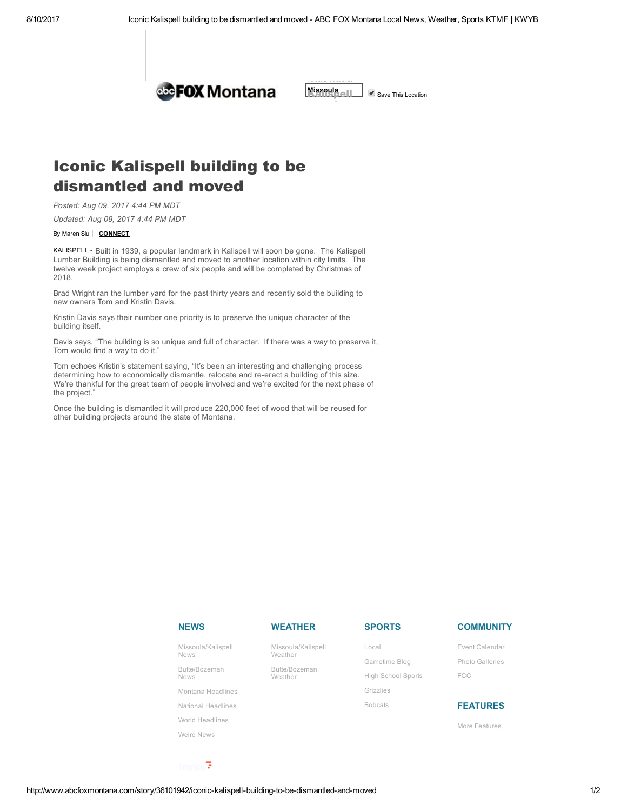Choose Location:



Missoula | Save This [Location](http://www.abcfoxmontana.com/)

## Iconic Kalispell building to be dismantled and moved

Posted: Aug 09, 2017 4:44 PM MDT

Updated: Aug 09, 2017 4:44 PM MDT

## By Maren Siu | CONNECT

KALISPELL - Built in 1939, a popular landmark in Kalispell will soon be gone. The Kalispell Lumber Building is being dismantled and moved to another location within city limits. The twelve week project employs a crew of six people and will be completed by Christmas of 2018.

Brad Wright ran the lumber yard for the past thirty years and recently sold the building to new owners Tom and Kristin Davis.

Kristin Davis says their number one priority is to preserve the unique character of the building itself.

Davis says, "The building is so unique and full of character. If there was a way to preserve it, Tom would find a way to do it."

Tom echoes Kristin's statement saying, "It's been an interesting and challenging process determining how to economically dismantle, relocate and re-erect a building of this size. We're thankful for the great team of people involved and we're excited for the next phase of the project."

Once the building is dismantled it will produce 220,000 feet of wood that will be reused for other building projects around the state of Montana.

| <b>NEWS</b>                       | <b>WEATHER</b>                | <b>SPORTS</b>             | <b>COMMUNITY</b> |
|-----------------------------------|-------------------------------|---------------------------|------------------|
| Missoula/Kalispell<br><b>News</b> | Missoula/Kalispell<br>Weather | Local                     | Event Calendar   |
|                                   |                               | Gametime Blog             | Photo Galleries  |
| Butte/Bozeman<br><b>News</b>      | Butte/Bozeman<br>Weather      | <b>High School Sports</b> | <b>FCC</b>       |
| Montana Headlines                 |                               | Grizzlies                 |                  |
| National Headlines                |                               | <b>Bobcats</b>            | <b>FEATURES</b>  |
| World Headlines                   |                               |                           | More Features    |
| Weird News                        |                               |                           |                  |

fronkly<sup>7</sup>